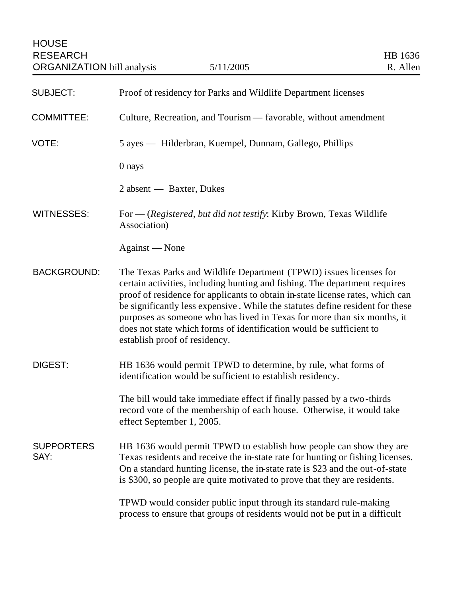| <b>SUBJECT:</b>           | Proof of residency for Parks and Wildlife Department licenses                                                                                                                                                                                                                                                                                                                                                                                                                                         |
|---------------------------|-------------------------------------------------------------------------------------------------------------------------------------------------------------------------------------------------------------------------------------------------------------------------------------------------------------------------------------------------------------------------------------------------------------------------------------------------------------------------------------------------------|
| <b>COMMITTEE:</b>         | Culture, Recreation, and Tourism — favorable, without amendment                                                                                                                                                                                                                                                                                                                                                                                                                                       |
| VOTE:                     | 5 ayes — Hilderbran, Kuempel, Dunnam, Gallego, Phillips                                                                                                                                                                                                                                                                                                                                                                                                                                               |
|                           | 0 nays                                                                                                                                                                                                                                                                                                                                                                                                                                                                                                |
|                           | 2 absent — Baxter, Dukes                                                                                                                                                                                                                                                                                                                                                                                                                                                                              |
| <b>WITNESSES:</b>         | For — (Registered, but did not testify: Kirby Brown, Texas Wildlife<br>Association)                                                                                                                                                                                                                                                                                                                                                                                                                   |
|                           | Against - None                                                                                                                                                                                                                                                                                                                                                                                                                                                                                        |
| <b>BACKGROUND:</b>        | The Texas Parks and Wildlife Department (TPWD) issues licenses for<br>certain activities, including hunting and fishing. The department requires<br>proof of residence for applicants to obtain in-state license rates, which can<br>be significantly less expensive. While the statutes define resident for these<br>purposes as someone who has lived in Texas for more than six months, it<br>does not state which forms of identification would be sufficient to<br>establish proof of residency. |
| <b>DIGEST:</b>            | HB 1636 would permit TPWD to determine, by rule, what forms of<br>identification would be sufficient to establish residency.                                                                                                                                                                                                                                                                                                                                                                          |
|                           | The bill would take immediate effect if finally passed by a two-thirds<br>record vote of the membership of each house. Otherwise, it would take<br>effect September 1, 2005.                                                                                                                                                                                                                                                                                                                          |
| <b>SUPPORTERS</b><br>SAY: | HB 1636 would permit TPWD to establish how people can show they are<br>Texas residents and receive the in-state rate for hunting or fishing licenses.<br>On a standard hunting license, the in-state rate is \$23 and the out-of-state<br>is \$300, so people are quite motivated to prove that they are residents.                                                                                                                                                                                   |
|                           | TPWD would consider public input through its standard rule-making<br>process to ensure that groups of residents would not be put in a difficult                                                                                                                                                                                                                                                                                                                                                       |